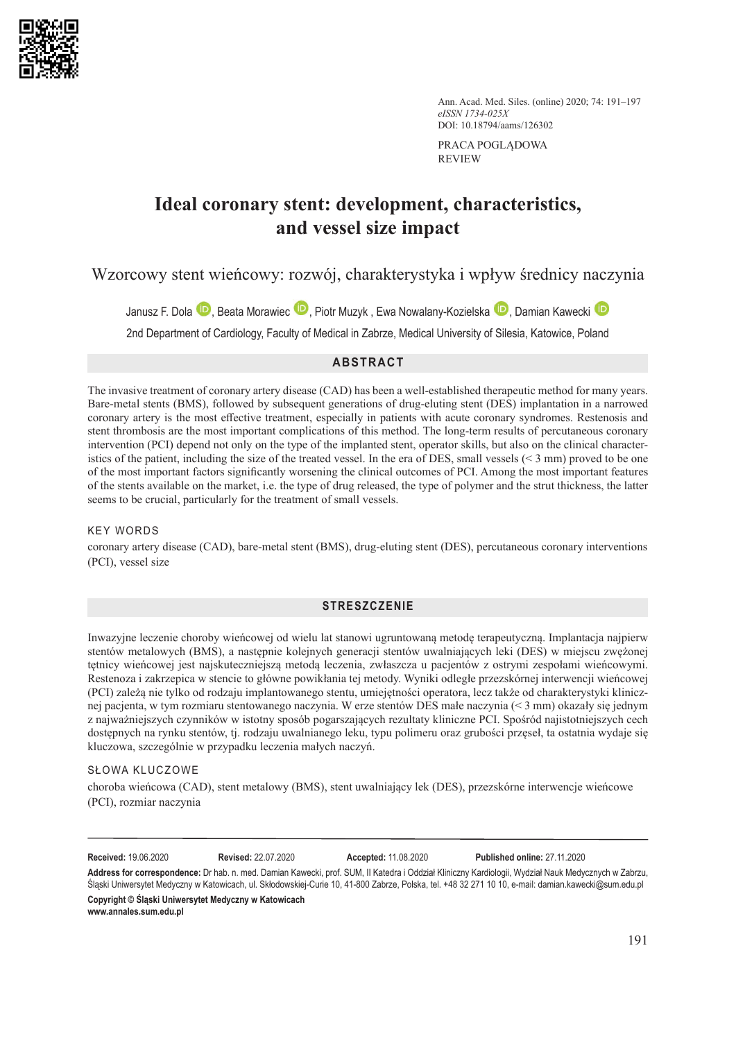

Ann. Acad. Med. Siles. (online) 2020; 74: 191–197 *eISSN 1734-025X* DOI: 10.18794/aams/126302

PRACA POGLĄDOWA REVIEW

# **Ideal coronary stent: development, characteristics, and vessel size impact**

Wzorcowy stent wieńcowy: rozwój, charakterystyka i wpływ średnicy naczynia

Janusz F. Dola <sup>D</sup>. Beata Morawiec D. Piotr Muzyk [,](https://orcid.org/0000-0002-5977-513X) Ewa Nowalany-Kozielska D[,](https://orcid.org/0000-0002-0187-1364) Damian Kawecki D

2nd Department of Cardiology, Faculty of Medical in Zabrze, Medical University of Silesia, Katowice, Poland

## **ABSTRACT**

The invasive treatment of coronary artery disease (CAD) has been a well-established therapeutic method for many years. Bare-metal stents (BMS), followed by subsequent generations of drug-eluting stent (DES) implantation in a narrowed coronary artery is the most effective treatment, especially in patients with acute coronary syndromes. Restenosis and stent thrombosis are the most important complications of this method. The long-term results of percutaneous coronary intervention (PCI) depend not only on the type of the implanted stent, operator skills, but also on the clinical characteristics of the patient, including the size of the treated vessel. In the era of DES, small vessels  $(< 3 \text{ mm})$  proved to be one of the most important factors significantly worsening the clinical outcomes of PCI. Among the most important features of the stents available on the market, i.e. the type of drug released, the type of polymer and the strut thickness, the latter seems to be crucial, particularly for the treatment of small vessels.

#### KEY WORDS

coronary artery disease (CAD), bare-metal stent (BMS), drug-eluting stent (DES), percutaneous coronary interventions (PCI), vessel size

## **STRESZCZENIE**

Inwazyjne leczenie choroby wieńcowej od wielu lat stanowi ugruntowaną metodę terapeutyczną. Implantacja najpierw stentów metalowych (BMS), a następnie kolejnych generacji stentów uwalniających leki (DES) w miejscu zwężonej tętnicy wieńcowej jest najskuteczniejszą metodą leczenia, zwłaszcza u pacjentów z ostrymi zespołami wieńcowymi. Restenoza i zakrzepica w stencie to główne powikłania tej metody. Wyniki odległe przezskórnej interwencji wieńcowej (PCI) zależą nie tylko od rodzaju implantowanego stentu, umiejętności operatora, lecz także od charakterystyki klinicznej pacjenta, w tym rozmiaru stentowanego naczynia. W erze stentów DES małe naczynia (< 3 mm) okazały się jednym z najważniejszych czynników w istotny sposób pogarszających rezultaty kliniczne PCI. Spośród najistotniejszych cech dostępnych na rynku stentów, tj. rodzaju uwalnianego leku, typu polimeru oraz grubości przęseł, ta ostatnia wydaje się kluczowa, szczególnie w przypadku leczenia małych naczyń.

#### SŁOWA KLUCZOWE

choroba wieńcowa (CAD), stent metalowy (BMS), stent uwalniający lek (DES), przezskórne interwencje wieńcowe (PCI), rozmiar naczynia

**Received:** 19.06.2020 **Revised:** 22.07.2020 **Accepted:** 11.08.2020 **Published online:** 27.11.2020

**Address for correspondence:** Dr hab. n. med. Damian Kawecki, prof. SUM, II Katedra i Oddział Kliniczny Kardiologii, Wydział Nauk Medycznych w Zabrzu, Śląski Uniwersytet Medyczny w Katowicach, ul. Skłodowskiej-Curie 10, 41-800 Zabrze, Polska, tel. +48 32 271 10 10, e-mail: damian.kawecki@sum.edu.pl **Copyright © Śląski Uniwersytet Medyczny w Katowicach**

**www.annales.sum.edu.pl**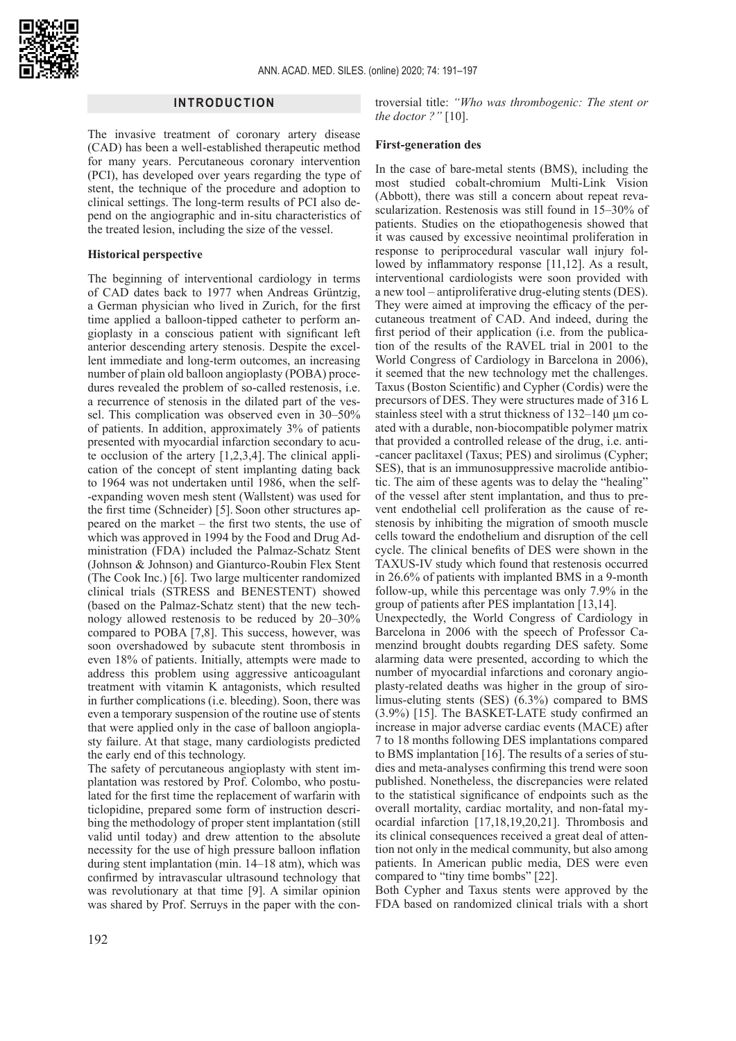

## **INTRODUCTION**

The invasive treatment of coronary artery disease (CAD) has been a well-established therapeutic method for many years. Percutaneous coronary intervention (PCI), has developed over years regarding the type of stent, the technique of the procedure and adoption to clinical settings. The long-term results of PCI also depend on the angiographic and in-situ characteristics of the treated lesion, including the size of the vessel.

#### **Historical perspective**

The beginning of interventional cardiology in terms of CAD dates back to 1977 when Andreas Grüntzig, a German physician who lived in Zurich, for the first time applied a balloon-tipped catheter to perform angioplasty in a conscious patient with significant left anterior descending artery stenosis. Despite the excellent immediate and long-term outcomes, an increasing number of plain old balloon angioplasty (POBA) procedures revealed the problem of so-called restenosis, i.e. a recurrence of stenosis in the dilated part of the vessel. This complication was observed even in 30–50% of patients. In addition, approximately 3% of patients presented with myocardial infarction secondary to acute occlusion of the artery [1,2,3,4]. The clinical application of the concept of stent implanting dating back to 1964 was not undertaken until 1986, when the self- -expanding woven mesh stent (Wallstent) was used for the first time (Schneider) [5]. Soon other structures appeared on the market – the first two stents, the use of which was approved in 1994 by the Food and Drug Administration (FDA) included the Palmaz-Schatz Stent (Johnson & Johnson) and Gianturco-Roubin Flex Stent (The Cook Inc.) [6]. Two large multicenter randomized clinical trials (STRESS and BENESTENT) showed (based on the Palmaz-Schatz stent) that the new technology allowed restenosis to be reduced by 20–30% compared to POBA [7,8]. This success, however, was soon overshadowed by subacute stent thrombosis in even 18% of patients. Initially, attempts were made to address this problem using aggressive anticoagulant treatment with vitamin K antagonists, which resulted in further complications (i.e. bleeding). Soon, there was even a temporary suspension of the routine use of stents that were applied only in the case of balloon angioplasty failure. At that stage, many cardiologists predicted the early end of this technology.

The safety of percutaneous angioplasty with stent implantation was restored by Prof. Colombo, who postulated for the first time the replacement of warfarin with ticlopidine, prepared some form of instruction describing the methodology of proper stent implantation (still valid until today) and drew attention to the absolute necessity for the use of high pressure balloon inflation during stent implantation (min. 14–18 atm), which was confirmed by intravascular ultrasound technology that was revolutionary at that time [9]. A similar opinion was shared by Prof. Serruys in the paper with the con-

troversial title: *"Who was thrombogenic: The stent or the doctor ?"* [10].

#### **First-generation des**

In the case of bare-metal stents (BMS), including the most studied cobalt-chromium Multi-Link Vision (Abbott), there was still a concern about repeat revascularization. Restenosis was still found in 15–30% of patients. Studies on the etiopathogenesis showed that it was caused by excessive neointimal proliferation in response to periprocedural vascular wall injury followed by inflammatory response [11,12]. As a result, interventional cardiologists were soon provided with a new tool – antiproliferative drug-eluting stents (DES). They were aimed at improving the efficacy of the percutaneous treatment of CAD. And indeed, during the first period of their application (i.e. from the publication of the results of the RAVEL trial in 2001 to the World Congress of Cardiology in Barcelona in 2006), it seemed that the new technology met the challenges. Taxus (Boston Scientific) and Cypher (Cordis) were the precursors of DES. They were structures made of 316 L stainless steel with a strut thickness of 132–140 µm coated with a durable, non-biocompatible polymer matrix that provided a controlled release of the drug, i.e. anti- -cancer paclitaxel (Taxus; PES) and sirolimus (Cypher; SES), that is an immunosuppressive macrolide antibiotic. The aim of these agents was to delay the "healing" of the vessel after stent implantation, and thus to prevent endothelial cell proliferation as the cause of restenosis by inhibiting the migration of smooth muscle cells toward the endothelium and disruption of the cell cycle. The clinical benefits of DES were shown in the TAXUS-IV study which found that restenosis occurred in 26.6% of patients with implanted BMS in a 9-month follow-up, while this percentage was only 7.9% in the group of patients after PES implantation [13,14].

Unexpectedly, the World Congress of Cardiology in Barcelona in 2006 with the speech of Professor Camenzind brought doubts regarding DES safety. Some alarming data were presented, according to which the number of myocardial infarctions and coronary angioplasty-related deaths was higher in the group of sirolimus-eluting stents (SES) (6.3%) compared to BMS (3.9%) [15]. The BASKET-LATE study confirmed an increase in major adverse cardiac events (MACE) after 7 to 18 months following DES implantations compared to BMS implantation [16]. The results of a series of studies and meta-analyses confirming this trend were soon published. Nonetheless, the discrepancies were related to the statistical significance of endpoints such as the overall mortality, cardiac mortality, and non-fatal myocardial infarction [17,18,19,20,21]. Thrombosis and its clinical consequences received a great deal of attention not only in the medical community, but also among patients. In American public media, DES were even compared to "tiny time bombs" [22].

Both Cypher and Taxus stents were approved by the FDA based on randomized clinical trials with a short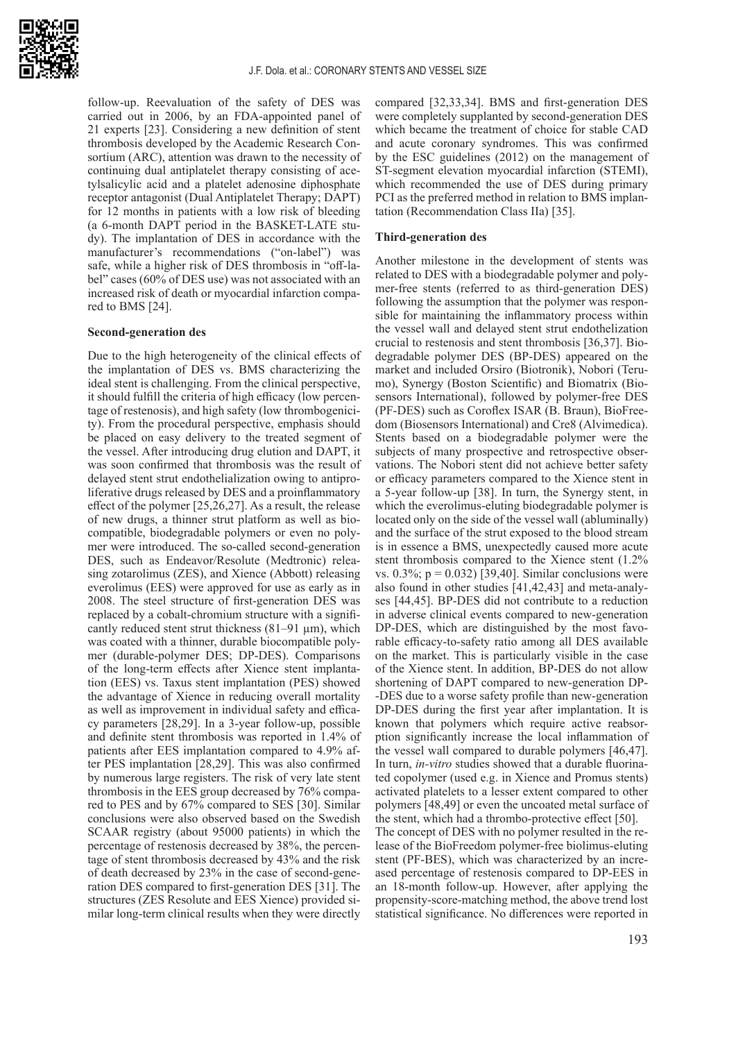

follow-up. Reevaluation of the safety of DES was carried out in 2006, by an FDA-appointed panel of 21 experts [23]. Considering a new definition of stent thrombosis developed by the Academic Research Consortium (ARC), attention was drawn to the necessity of continuing dual antiplatelet therapy consisting of acetylsalicylic acid and a platelet adenosine diphosphate receptor antagonist (Dual Antiplatelet Therapy; DAPT) for 12 months in patients with a low risk of bleeding (a 6-month DAPT period in the BASKET-LATE study). The implantation of DES in accordance with the manufacturer's recommendations ("on-label") was safe, while a higher risk of DES thrombosis in "off-label" cases (60% of DES use) was not associated with an increased risk of death or myocardial infarction compared to BMS [24].

#### **Second-generation des**

Due to the high heterogeneity of the clinical effects of the implantation of DES vs. BMS characterizing the ideal stent is challenging. From the clinical perspective, it should fulfill the criteria of high efficacy (low percentage of restenosis), and high safety (low thrombogenicity). From the procedural perspective, emphasis should be placed on easy delivery to the treated segment of the vessel. After introducing drug elution and DAPT, it was soon confirmed that thrombosis was the result of delayed stent strut endothelialization owing to antiproliferative drugs released by DES and a proinflammatory effect of the polymer [25,26,27]. As a result, the release of new drugs, a thinner strut platform as well as biocompatible, biodegradable polymers or even no polymer were introduced. The so-called second-generation DES, such as Endeavor/Resolute (Medtronic) releasing zotarolimus (ZES), and Xience (Abbott) releasing everolimus (EES) were approved for use as early as in 2008. The steel structure of first-generation DES was replaced by a cobalt-chromium structure with a significantly reduced stent strut thickness  $(81-91 \mu m)$ , which was coated with a thinner, durable biocompatible polymer (durable-polymer DES; DP-DES). Comparisons of the long-term effects after Xience stent implantation (EES) vs. Taxus stent implantation (PES) showed the advantage of Xience in reducing overall mortality as well as improvement in individual safety and efficacy parameters [28,29]. In a 3-year follow-up, possible and definite stent thrombosis was reported in 1.4% of patients after EES implantation compared to 4.9% after PES implantation [28,29]. This was also confirmed by numerous large registers. The risk of very late stent thrombosis in the EES group decreased by 76% compared to PES and by 67% compared to SES [30]. Similar conclusions were also observed based on the Swedish SCAAR registry (about 95000 patients) in which the percentage of restenosis decreased by 38%, the percentage of stent thrombosis decreased by 43% and the risk of death decreased by 23% in the case of second-generation DES compared to first-generation DES [31]. The structures (ZES Resolute and EES Xience) provided similar long-term clinical results when they were directly

compared [32,33,34]. BMS and first-generation DES were completely supplanted by second-generation DES which became the treatment of choice for stable CAD and acute coronary syndromes. This was confirmed by the ESC guidelines (2012) on the management of ST-segment elevation myocardial infarction (STEMI), which recommended the use of DES during primary PCI as the preferred method in relation to BMS implantation (Recommendation Class IIa) [35].

### **Third-generation des**

Another milestone in the development of stents was related to DES with a biodegradable polymer and polymer-free stents (referred to as third-generation DES) following the assumption that the polymer was responsible for maintaining the inflammatory process within the vessel wall and delayed stent strut endothelization crucial to restenosis and stent thrombosis [36,37]. Biodegradable polymer DES (BP-DES) appeared on the market and included Orsiro (Biotronik), Nobori (Terumo), Synergy (Boston Scientific) and Biomatrix (Biosensors International), followed by polymer-free DES (PF-DES) such as Coroflex ISAR (B. Braun), BioFreedom (Biosensors International) and Cre8 (Alvimedica). Stents based on a biodegradable polymer were the subjects of many prospective and retrospective observations. The Nobori stent did not achieve better safety or efficacy parameters compared to the Xience stent in a 5-year follow-up [38]. In turn, the Synergy stent, in which the everolimus-eluting biodegradable polymer is located only on the side of the vessel wall (abluminally) and the surface of the strut exposed to the blood stream is in essence a BMS, unexpectedly caused more acute stent thrombosis compared to the Xience stent (1.2% vs.  $0.3\%$ ; p = 0.032) [39,40]. Similar conclusions were also found in other studies [41,42,43] and meta-analyses [44,45]. BP-DES did not contribute to a reduction in adverse clinical events compared to new-generation DP-DES, which are distinguished by the most favorable efficacy-to-safety ratio among all DES available on the market. This is particularly visible in the case of the Xience stent. In addition, BP-DES do not allow shortening of DAPT compared to new-generation DP- -DES due to a worse safety profile than new-generation DP-DES during the first year after implantation. It is known that polymers which require active reabsorption significantly increase the local inflammation of the vessel wall compared to durable polymers [46,47]. In turn, *in-vitro* studies showed that a durable fluorinated copolymer (used e.g. in Xience and Promus stents) activated platelets to a lesser extent compared to other polymers [48,49] or even the uncoated metal surface of the stent, which had a thrombo-protective effect [50].

The concept of DES with no polymer resulted in the release of the BioFreedom polymer-free biolimus-eluting stent (PF-BES), which was characterized by an increased percentage of restenosis compared to DP-EES in an 18-month follow-up. However, after applying the propensity-score-matching method, the above trend lost statistical significance. No differences were reported in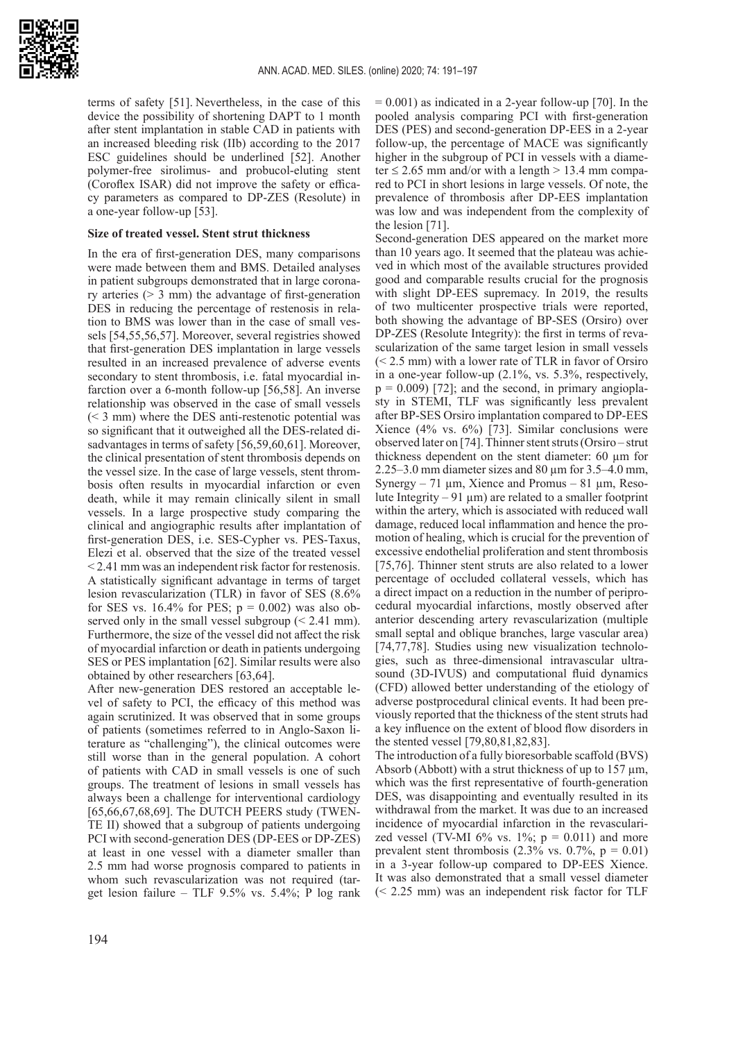

terms of safety [51]. Nevertheless, in the case of this device the possibility of shortening DAPT to 1 month after stent implantation in stable CAD in patients with an increased bleeding risk (IIb) according to the 2017 ESC guidelines should be underlined [52]. Another polymer-free sirolimus- and probucol-eluting stent (Coroflex ISAR) did not improve the safety or efficacy parameters as compared to DP-ZES (Resolute) in a one-year follow-up [53].

#### **Size of treated vessel. Stent strut thickness**

In the era of first-generation DES, many comparisons were made between them and BMS. Detailed analyses in patient subgroups demonstrated that in large coronary arteries  $(> 3$  mm) the advantage of first-generation DES in reducing the percentage of restenosis in relation to BMS was lower than in the case of small vessels [54,55,56,57]. Moreover, several registries showed that first-generation DES implantation in large vessels resulted in an increased prevalence of adverse events secondary to stent thrombosis, i.e. fatal myocardial infarction over a 6-month follow-up [56,58]. An inverse relationship was observed in the case of small vessels (< 3 mm) where the DES anti-restenotic potential was so significant that it outweighed all the DES-related disadvantages in terms of safety [56,59,60,61]. Moreover, the clinical presentation of stent thrombosis depends on the vessel size. In the case of large vessels, stent thrombosis often results in myocardial infarction or even death, while it may remain clinically silent in small vessels. In a large prospective study comparing the clinical and angiographic results after implantation of first-generation DES, i.e. SES-Cypher vs. PES-Taxus, Elezi et al. observed that the size of the treated vessel < 2.41 mm was an independent risk factor for restenosis. A statistically significant advantage in terms of target lesion revascularization (TLR) in favor of SES (8.6% for SES vs. 16.4% for PES;  $p = 0.002$ ) was also observed only in the small vessel subgroup  $( $2.41 \text{ mm}$ ).$ Furthermore, the size of the vessel did not affect the risk of myocardial infarction or death in patients undergoing SES or PES implantation [62]. Similar results were also obtained by other researchers [63,64].

After new-generation DES restored an acceptable level of safety to PCI, the efficacy of this method was again scrutinized. It was observed that in some groups of patients (sometimes referred to in Anglo-Saxon literature as "challenging"), the clinical outcomes were still worse than in the general population. A cohort of patients with CAD in small vessels is one of such groups. The treatment of lesions in small vessels has always been a challenge for interventional cardiology [65,66,67,68,69]. The DUTCH PEERS study (TWEN-TE II) showed that a subgroup of patients undergoing PCI with second-generation DES (DP-EES or DP-ZES) at least in one vessel with a diameter smaller than 2.5 mm had worse prognosis compared to patients in whom such revascularization was not required (target lesion failure – TLF  $9.5\%$  vs.  $5.4\%$ ; P log rank  $= 0.001$ ) as indicated in a 2-year follow-up [70]. In the pooled analysis comparing PCI with first-generation DES (PES) and second-generation DP-EES in a 2-year follow-up, the percentage of MACE was significantly higher in the subgroup of PCI in vessels with a diameter  $\leq$  2.65 mm and/or with a length  $>$  13.4 mm compared to PCI in short lesions in large vessels. Of note, the prevalence of thrombosis after DP-EES implantation was low and was independent from the complexity of the lesion [71].

Second-generation DES appeared on the market more than 10 years ago. It seemed that the plateau was achieved in which most of the available structures provided good and comparable results crucial for the prognosis with slight DP-EES supremacy. In 2019, the results of two multicenter prospective trials were reported, both showing the advantage of BP-SES (Orsiro) over DP-ZES (Resolute Integrity): the first in terms of revascularization of the same target lesion in small vessels (< 2.5 mm) with a lower rate of TLR in favor of Orsiro in a one-year follow-up (2.1%, vs. 5.3%, respectively,  $p = 0.009$  [72]; and the second, in primary angioplasty in STEMI, TLF was significantly less prevalent after BP-SES Orsiro implantation compared to DP-EES Xience (4% vs. 6%) [73]. Similar conclusions were observed later on [74]. Thinner stent struts (Orsiro – strut thickness dependent on the stent diameter: 60 µm for 2.25–3.0 mm diameter sizes and 80  $\mu$ m for 3.5–4.0 mm, Synergy – 71  $\mu$ m, Xience and Promus – 81  $\mu$ m, Resolute Integrity – 91  $\mu$ m) are related to a smaller footprint within the artery, which is associated with reduced wall damage, reduced local inflammation and hence the promotion of healing, which is crucial for the prevention of excessive endothelial proliferation and stent thrombosis [75,76]. Thinner stent struts are also related to a lower percentage of occluded collateral vessels, which has a direct impact on a reduction in the number of periprocedural myocardial infarctions, mostly observed after anterior descending artery revascularization (multiple small septal and oblique branches, large vascular area) [74,77,78]. Studies using new visualization technologies, such as three-dimensional intravascular ultrasound (3D-IVUS) and computational fluid dynamics (CFD) allowed better understanding of the etiology of adverse postprocedural clinical events. It had been previously reported that the thickness of the stent struts had a key influence on the extent of blood flow disorders in the stented vessel [79,80,81,82,83].

The introduction of a fully bioresorbable scaffold (BVS) Absorb (Abbott) with a strut thickness of up to 157 µm, which was the first representative of fourth-generation DES, was disappointing and eventually resulted in its withdrawal from the market. It was due to an increased incidence of myocardial infarction in the revascularized vessel (TV-MI 6% vs.  $1\%$ ;  $p = 0.011$ ) and more prevalent stent thrombosis  $(2.3\% \text{ vs. } 0.7\%, \text{ p} = 0.01)$ in a 3-year follow-up compared to DP-EES Xience. It was also demonstrated that a small vessel diameter (< 2.25 mm) was an independent risk factor for TLF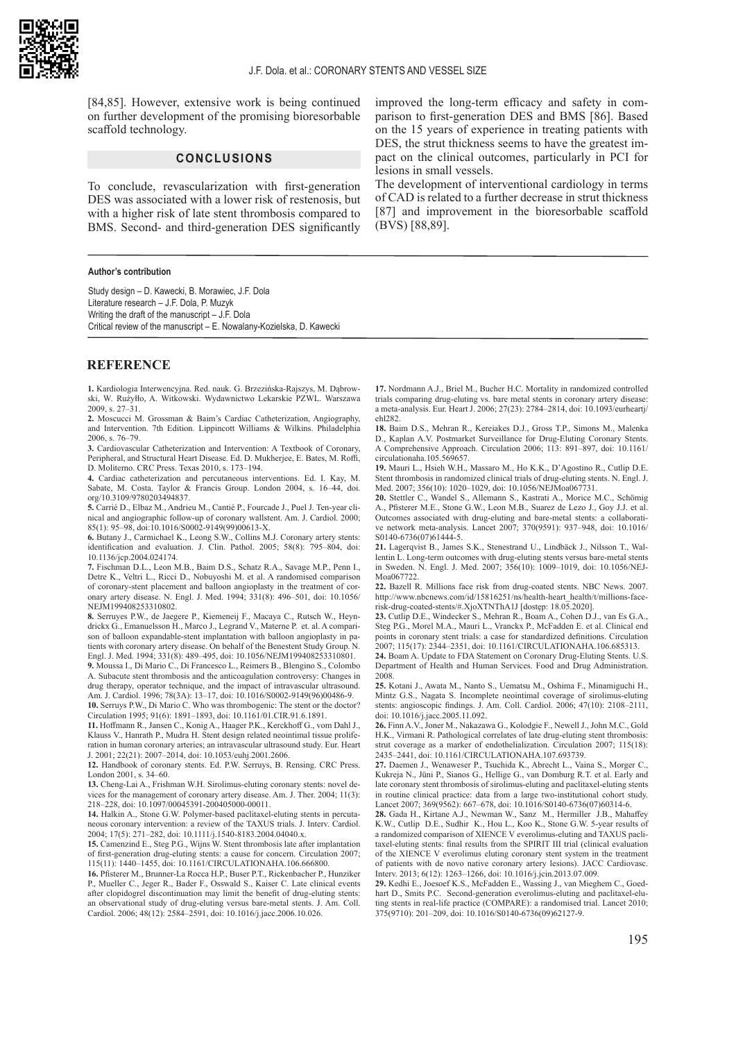[84,85]. However, extensive work is being continued on further development of the promising bioresorbable scaffold technology.

### **CONCLUSIONS**

To conclude, revascularization with first-generation DES was associated with a lower risk of restenosis, but with a higher risk of late stent thrombosis compared to BMS. Second- and third-generation DES significantly

#### **Author's contribution**

Study design – D. Kawecki, B. Morawiec, J.F. Dola Literature research – J.F. Dola, P. Muzyk Writing the draft of the manuscript – J.F. Dola Critical review of the manuscript – E. Nowalany-Kozielska, D. Kawecki

#### **REFERENCE**

**1.** Kardiologia Interwencyjna. Red. nauk. G. Brzezińska-Rajszys, M. Dąbrowski, W. Rużyłło, A. Witkowski. Wydawnictwo Lekarskie PZWL. Warszawa 2009, s. 27–31.

**2.** Moscucci M. Grossman & Baim's Cardiac Catheterization, Angiography, and Intervention. 7th Edition. Lippincott Williams & Wilkins. Philadelphia 2006, s. 76–79.

**3.** Cardiovascular Catheterization and Intervention: A Textbook of Coronary, Peripheral, and Structural Heart Disease. Ed. D. Mukherjee, E. Bates, M. Roffi, D. Moliterno. CRC Press. Texas 2010, s. 173–194.

**4.** Cardiac catheterization and percutaneous interventions. Ed. I. Kay, M. Sabate, M. Costa. Taylor & Francis Group. London 2004, s. 16–44, doi. org/10.3109/9780203494837.

**5.** Carrié D., Elbaz M., Andrieu M., Cantié P., Fourcade J., Puel J. Ten-year clinical and angiographic follow-up of coronary wallstent. Am. J. Cardiol. 2000; 85(1): 95–98, doi:10.1016/S0002-9149(99)00613-X.

**6.** Butany J., Carmichael K., Leong S.W., Collins M.J. Coronary artery stents: identification and evaluation. J. Clin. Pathol. 2005; 58(8): 795–804, doi: [10.1136/jcp.2004.024174](http://dx.doi.org/10.1136/jcp.2004.024174).

**7.** Fischman D.L., Leon M.B., Baim D.S., Schatz R.A., Savage M.P., Penn I., Detre K., Veltri L., Ricci D., Nobuyoshi M. et al. A randomised comparison of coronary-stent placement and balloon angioplasty in the treatment of coronary artery disease. N. Engl. J. Med. 1994; 331(8): 496–501, doi: [10.1056/](https://www.nejm.org/doi/full/10.1056/NEJM199408253310802) [NEJM199408253310802](https://www.nejm.org/doi/full/10.1056/NEJM199408253310802).

**8.** Serruyes P.W., de Jaegere P., Kiemeneij F., Macaya C., Rutsch W., Heyndrickx G., Emanuelsson H., Marco J., Legrand V., Materne P. et. al. A comparison of balloon expandable-stent implantation with balloon angioplasty in patients with coronary artery disease. On behalf of the Benestent Study Group. N. Engl. J. Med. 1994; 331(8): 489–495, doi: 10.1056/NEJM199408253310801.

**9.** Moussa I., Di Mario C., Di Francesco L., Reimers B., Blengino S., Colombo A. Subacute stent thrombosis and the anticoagulation controversy: Changes in drug therapy, operator technique, and the impact of intravascular ultrasound. Am. J. Cardiol. 1996; 78(3A): 13–17, doi: [10.1016/S0002-9149\(96\)00486-9](https://doi.org/10.1016/S0002-9149(96)00486-9).

**10.** Serruys P.W., Di Mario C. Who was thrombogenic: The stent or the doctor? Circulation 1995; 91(6): 1891–1893, doi: [10.1161/01.CIR.91.6.1891.](https://www.ahajournals.org/doi/10.1161/01.CIR.91.6.1891)

**11.** Hoffmann R., Jansen C., Konig A., Haager P.K., Kerckhoff G., vom Dahl J., Klauss V., Hanrath P., Mudra H. Stent design related neointimal tissue proliferation in human coronary arteries; an intravascular ultrasound study. Eur. Heart J. 2001; 22(21): 2007–2014, doi: [10.1053/euhj.2001.2606](https://doi.org/10.1053/euhj.2001.2606).

**12.** Handbook of coronary stents. Ed. P.W. Serruys, B. Rensing. CRC Press. London 2001, s. 34–60.

**13.** Cheng-Lai A., Frishman W.H. Sirolimus-eluting coronary stents: novel devices for the management of coronary artery disease. Am. J. Ther. 2004; 11(3): 218–228, doi: 10.1097/00045391-200405000-00011.

**14.** Halkin A., Stone G.W. Polymer-based paclitaxel-eluting stents in percutaneous coronary intervention: a review of the TAXUS trials. J. Interv. Cardiol. 2004; 17(5): 271–282, doi: 10.1111/j.1540-8183.2004.04040.x.

**15.** Camenzind E., Steg P.G., Wijns W. Stent thrombosis late after implantation of first-generation drug-eluting stents: a cause for concern. Circulation 2007; 115(11): 1440–1455, doi: [10.1161/CIRCULATIONAHA.106.666800](https://doi.org/10.1161/CIRCULATIONAHA.106.666800).

**16.** Pfisterer M., Brunner-La Rocca H.P., Buser P.T., Rickenbacher P., Hunziker P., Mueller C., Jeger R., Bader F., Osswald S., Kaiser C. Late clinical events after clopidogrel discontinuation may limit the benefit of drug-eluting stents: an observational study of drug-eluting versus bare-metal stents. J. Am. Coll. Cardiol. 2006; 48(12): 2584–2591, doi: 10.1016/j.jacc.2006.10.026.

improved the long-term efficacy and safety in comparison to first-generation DES and BMS [86]. Based on the 15 years of experience in treating patients with DES, the strut thickness seems to have the greatest impact on the clinical outcomes, particularly in PCI for lesions in small vessels.

The development of interventional cardiology in terms of CAD is related to a further decrease in strut thickness [87] and improvement in the bioresorbable scaffold (BVS) [88,89].

**17.** Nordmann A.J., Briel M., Bucher H.C. Mortality in randomized controlled trials comparing drug-eluting vs. bare metal stents in coronary artery disease: a meta-analysis. Eur. Heart J. 2006; 27(23): 2784–2814, doi: [10.1093/eurheartj/](https://doi.org/10.1093/eurheartj/ehl282) [ehl282](https://doi.org/10.1093/eurheartj/ehl282).

**18.** Baim D.S., Mehran R., Kereiakes D.J., Gross T.P., Simons M., Malenka D., Kaplan A.V. Postmarket Surveillance for Drug-Eluting Coronary Stents. A Comprehensive Approach. Circulation 2006; 113: 891–897, doi: 10.1161/ circulationaha.105.569657.

**19.** Mauri L., Hsieh W.H., Massaro M., Ho K.K., D'Agostino R., Cutlip D.E. Stent thrombosis in randomized clinical trials of drug-eluting stents. N. Engl. J. Med. 2007; 356(10): 1020–1029, doi: 10.1056/NEJMoa067731.

**20.** Stettler C., Wandel S., Allemann S., Kastrati A., Morice M.C., Schömig A., Pfisterer M.E., Stone G.W., Leon M.B., Suarez de Lezo J., Goy J.J. et al. Outcomes associated with drug-eluting and bare-metal stents: a collaborative network meta-analysis. Lancet 2007; 370(9591): 937–948, doi: [10.1016/](https://doi.org/10.1016/S0140-6736(07)61444-5) [S0140-6736\(07\)61444-5](https://doi.org/10.1016/S0140-6736(07)61444-5).

**21.** Lagerqvist B., James S.K., Stenestrand U., Lindbäck J., Nilsson T., Wallentin L. Long-term outcomes with drug-eluting stents versus bare-metal stents in Sweden. N. Engl. J. Med. 2007; 356(10): 1009–1019, doi: 10.1056/NEJ-Moa067722.

**22.** Bazell R. Millions face risk from drug-coated stents. NBC News. 2007. [http://www.nbcnews.com/id/15816251/ns/health-heart\\_health/t/millions-face](http://www.nbcnews.com/id/15816251/ns/health-heart_health/t/millions-face-)risk-drug-coated-stents/#.XjoXTNThA1J [dostęp: 18.05.2020].

**23.** Cutlip D.E., Windecker S., Mehran R., Boam A., Cohen D.J., van Es G.A., Steg P.G., Morel M.A., Mauri L., Vranckx P., McFadden E. et al. Clinical end points in coronary stent trials: a case for standardized definitions. Circulation 2007; 115(17): 2344–2351, doi: [10.1161/CIRCULATIONAHA.106.685313](https://doi.org/10.1161/CIRCULATIONAHA.106.685313).

**24.** Boam A. Update to FDA Statement on Coronary Drug-Eluting Stents. U.S. Department of Health and Human Services. Food and Drug Administration. 2008

**25.** Kotani J., Awata M., Nanto S., Uematsu M., Oshima F., Minamiguchi H., Mintz G.S., Nagata S. Incomplete neointimal coverage of sirolimus-eluting stents: angioscopic findings. J. Am. Coll. Cardiol. 2006; 47(10): 2108–2111, doi: [10.1016/j.jacc.2005.11.092](https://doi.org/10.1016/j.jacc.2005.11.092).

**26.** Finn A.V., Joner M., Nakazawa G., Kolodgie F., Newell J., John M.C., Gold H.K., Virmani R. Pathological correlates of late drug-eluting stent thrombosis: strut coverage as a marker of endothelialization. Circulation 2007; 115(18): 2435–2441, doi: [10.1161/CIRCULATIONAHA.107.693739](https://doi.org/10.1161/CIRCULATIONAHA.107.693739).

**27.** Daemen J., Wenaweser P., Tsuchida K., Abrecht L., Vaina S., Morger C., Kukreja N., Jüni P., Sianos G., Hellige G., van Domburg R.T. et al. Early and late coronary stent thrombosis of sirolimus-eluting and paclitaxel-eluting stents in routine clinical practice: data from a large two-institutional cohort study. Lancet 2007; 369(9562): 667–678, doi: [10.1016/S0140-6736\(07\)60314-6](https://doi.org/10.1016/S0140-6736(07)60314-6).

**28.** [Gada H.](https://www.ncbi.nlm.nih.gov/pubmed/?term=Gada H%5BAuthor%5D&cauthor=true&cauthor_uid=24239202), [Kirtane A.J](https://www.ncbi.nlm.nih.gov/pubmed/?term=Kirtane AJ%5BAuthor%5D&cauthor=true&cauthor_uid=24239202)., [Newman W.](https://www.ncbi.nlm.nih.gov/pubmed/?term=Newman W%5BAuthor%5D&cauthor=true&cauthor_uid=24239202), Sanz M., Hermiller J.B., Mahaffey K.W., Cutlip D.E., Sudhir K., Hou L., Koo K., Stone G.W. 5-year results of a randomized comparison of XIENCE V everolimus-eluting and TAXUS paclitaxel-eluting stents: final results from the SPIRIT III trial (clinical evaluation of the XIENCE V everolimus eluting coronary stent system in the treatment of patients with de novo native coronary artery lesions). [JACC Cardiovasc.](https://www.ncbi.nlm.nih.gov/pubmed/24239202) [Interv.](https://www.ncbi.nlm.nih.gov/pubmed/24239202) 2013; 6(12): 1263–1266, doi: [10.1016/j.jcin.2013.07.009](https://doi.org/10.1016/j.jcin.2013.07.009).

**29.** Kedhi E., Joesoef K.S., McFadden E., Wassing J., van Mieghem C., Goedhart D., Smits P.C. Second-generation everolimus-eluting and paclitaxel-eluting stents in real-life practice (COMPARE): a randomised trial. Lancet 2010; 375(9710): 201–209, doi: [10.1016/S0140-6736\(09\)62127-9](https://doi.org/10.1016/S0140-6736(09)62127-9).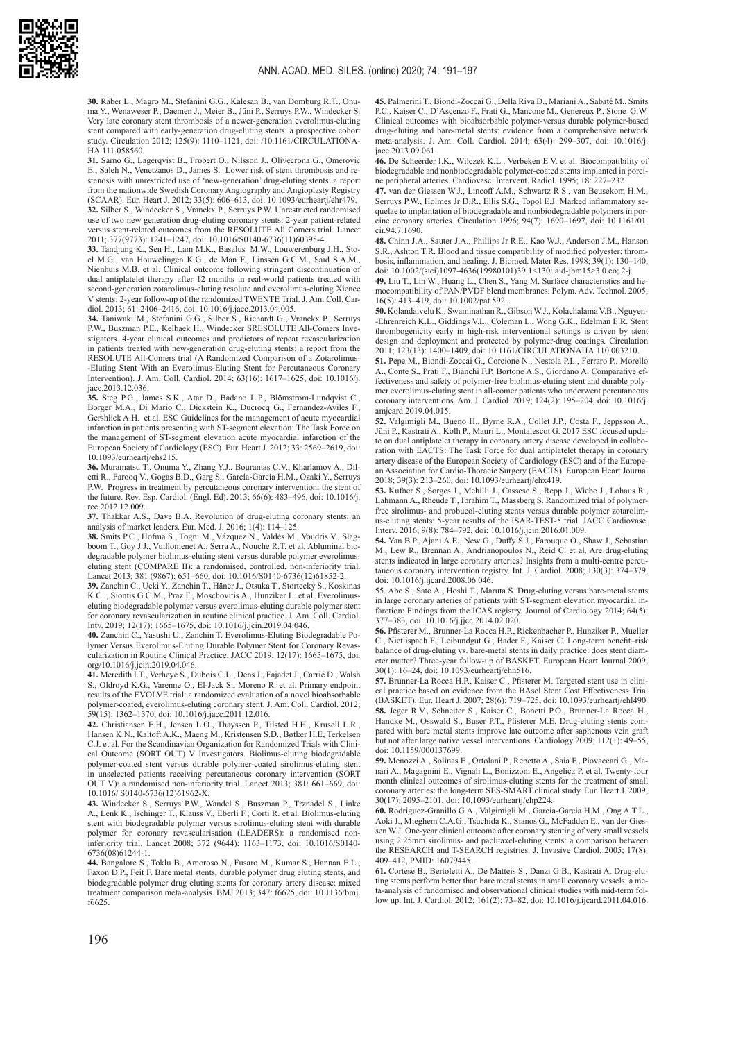

**30.** Räber L., Magro M., Stefanini G.G., Kalesan B., van Domburg R.T., Onuma Y., Wenaweser P., Daemen J., Meier B., Jüni P., Serruys P.W., Windecker S. Very late coronary stent thrombosis of a newer-generation everolimus-eluting stent compared with early-generation drug-eluting stents: a prospective cohort study. Circulation 2012; 125(9): 1110–1121, doi: [/10.1161/CIRCULATIONA-](https://doi.org/10.1161/CIRCULATIONAHA.111.058560)[HA.111.058560](https://doi.org/10.1161/CIRCULATIONAHA.111.058560).

**31.** Sarno G., Lagerqvist B., Fröbert O., Nilsson J., Olivecrona G., Omerovic E., Saleh N., Venetzanos D., James S. Lower risk of stent thrombosis and restenosis with unrestricted use of 'new-generation' drug-eluting stents: a report from the nationwide Swedish Coronary Angiography and Angioplasty Registry (SCAAR). Eur. Heart J. 2012; 33(5): 606–613, doi: [10.1093/eurheartj/ehr479](https://doi.org/10.1093/eurheartj/ehr479). **32.** Silber S., Windecker S., Vranckx P., Serruys P.W. Unrestricted randomised use of two new generation drug-eluting coronary stents: 2-year patient-related versus stent-related outcomes from the RESOLUTE All Comers trial. Lancet 2011; 377(9773): 1241–1247, doi: [10.1016/S0140-6736\(11\)60395-4](https://doi.org/10.1016/S0140-6736(11)60395-4).

**33.** Tandjung K., Sen H., Lam M.K., Basalus M.W., Louwerenburg J.H., Stoel M.G., van Houwelingen K.G., de Man F., Linssen G.C.M., Saïd S.A.M., Nienhuis M.B. et al. Clinical outcome following stringent discontinuation of dual antiplatelet therapy after 12 months in real-world patients treated with second-generation zotarolimus-eluting resolute and everolimus-eluting Xience V stents: 2-year follow-up of the randomized TWENTE Trial. J. Am. Coll. Cardiol. 2013; 61: 2406–2416, doi: [10.1016/j.jacc.2013.04.005](https://doi.org/10.1016/j.jacc.2013.04.005).

**34.** Taniwaki M., Stefanini G.G., Silber S., Richardt G., Vranckx P., Serruys P.W., Buszman P.E., Kelbaek H., Windecker SRESOLUTE All-Comers Investigators. 4-year clinical outcomes and predictors of repeat revascularization in patients treated with new-generation drug-eluting stents: a report from the RESOLUTE All-Comers trial (A Randomized Comparison of a Zotarolimus- -Eluting Stent With an Everolimus-Eluting Stent for Percutaneous Coronary Intervention). J. Am. Coll. Cardiol. 2014; 63(16): 1617–1625, doi: [10.1016/j.](https://doi.org/10.1016/j.jacc.2013.12.036) [jacc.2013.12.036](https://doi.org/10.1016/j.jacc.2013.12.036).

**35.** Steg P.G., James S.K., Atar D., Badano L.P., Blömstrom-Lundqvist C., Borger M.A., Di Mario C., Dickstein K., Ducrocq G., Fernandez-Aviles F., Gershlick A.H. et al. ESC Guidelines for the management of acute myocardial infarction in patients presenting with ST-segment elevation: The Task Force on the management of ST-segment elevation acute myocardial infarction of the European Society of Cardiology (ESC). Eur. Heart J. 2012; 33: 2569–2619, doi: [10.1093/eurheartj/ehs215](https://doi.org/10.1093/eurheartj/ehs215).

**36.** Muramatsu T., Onuma Y., Zhang Y.J., Bourantas C.V., Kharlamov A., Diletti R., Farooq V., Gogas B.D., Garg S., García-García H.M., Ozaki Y., Serruys P.W. Progress in treatment by percutaneous coronary intervention: the stent of the future. Rev. Esp. Cardiol. (Engl. Ed). 2013; 66(6): 483–496, doi: 10.1016/j. rec.2012.12.009.

**37.** Thakkar A.S., Dave B.A. Revolution of drug-eluting coronary stents: an analysis of market leaders. Eur. Med. J. 2016; 1(4): 114–125.

**38.** Smits P.C., Hofma S., Togni M., Vázquez N., Valdés M., Voudris V., Slagboom T., Goy J.J., Vuillomenet A., Serra A., Nouche R.T. et al. Abluminal biodegradable polymer biolimus-eluting stent versus durable polymer everolimuseluting stent (COMPARE II): a randomised, controlled, non-inferiority trial. Lancet 2013; 381 (9867): 651–660, doi: [10.1016/S0140-6736\(12\)61852-2](https://doi.org/10.1016/S0140-6736(12)61852-2).

**39.** Zanchin C., Ueki Y., Zanchin T., Häner J., Otsuka T., Stortecky S., Koskinas K.C. , Siontis G.C.M., Praz F., Moschovitis A., Hunziker L. et al. Everolimuseluting biodegradable polymer versus everolimus-eluting durable polymer stent for coronary revascularization in routine clinical practice. J. Am. Coll. Cardiol. Intv. 2019; 12(17): 1665–1675, doi: [10.1016/j.jcin.2019.04.046](https://doi.org/10.1016/j.jcin.2019.04.046).

**40.** Zanchin C., Yasushi U., Zanchin T. Everolimus-Eluting Biodegradable Polymer Versus Everolimus-Eluting Durable Polymer Stent for Coronary Revascularization in Routine Clinical Practice. JACC 2019; 12(17): 1665–1675, [doi.](https://doi.org/10.1016/j.jcin.2019.04.046) [org/10.1016/j.jcin.2019.04.046](https://doi.org/10.1016/j.jcin.2019.04.046).

**41.** Meredith I.T., Verheye S., Dubois C.L., Dens J., Fajadet J., Carrié D., Walsh S., Oldroyd K.G., Varenne O., El-Jack S., Moreno R. et al. Primary endpoint results of the EVOLVE trial: a randomized evaluation of a novel bioabsorbable polymer-coated, everolimus-eluting coronary stent. J. Am. Coll. Cardiol. 2012; 59(15): 1362–1370, doi: [10.1016/j.jacc.2011.12.016](https://doi.org/10.1016/j.jacc.2011.12.016).

**42.** Christiansen E.H., Jensen L.O., Thayssen P., Tilsted H.H., Krusell L.R., Hansen K.N., Kaltoft A.K., Maeng M., Kristensen S.D., Bøtker H.E, Terkelsen C.J. et al. For the Scandinavian Organization for Randomized Trials with Clinical Outcome (SORT OUT) V Investigators. Biolimus-eluting biodegradable polymer-coated stent versus durable polymer-coated sirolimus-eluting stent in unselected patients receiving percutaneous coronary intervention (SORT OUT V): a randomised non-inferiority trial. Lancet 2013; 381: 661–669, doi: 10.1016/ S0140-6736(12)61962-X.

**43.** Windecker S., Serruys P.W., Wandel S., Buszman P., Trznadel S., Linke A., Lenk K., Ischinger T., Klauss V., Eberli F., Corti R. et al. Biolimus-eluting stent with biodegradable polymer versus sirolimus-eluting stent with durable polymer for coronary revascularisation (LEADERS): a randomised noninferiority trial. Lancet 2008; 372 (9644): 1163–1173, doi: [10.1016/S0140-](https://doi.org/10.1016/S0140-6736(08)61244-1) [6736\(08\)61244-1](https://doi.org/10.1016/S0140-6736(08)61244-1).

**44.** Bangalore S., Toklu B., Amoroso N., Fusaro M., Kumar S., Hannan E.L., Faxon D.P., Feit F. Bare metal stents, durable polymer drug eluting stents, and biodegradable polymer drug eluting stents for coronary artery disease: mixed treatment comparison meta-analysis. BMJ 2013; 347: f6625, doi: [10.1136/bmj.](https://dx.doi.org/10.1136%2Fbmj.f6625) [f6625](https://dx.doi.org/10.1136%2Fbmj.f6625).

**45.** Palmerini T., Biondi-Zoccai G., Della Riva D., Mariani A., Sabaté M., Smits P.C., Kaiser C., D'Ascenzo F., Frati G., Mancone M., Genereux P., Stone G.W. Clinical outcomes with bioabsorbable polymer-versus durable polymer-based drug-eluting and bare-metal stents: evidence from a comprehensive network meta-analysis. J. Am. Coll. Cardiol. 2014; 63(4): 299–307, doi: [10.1016/j.](https://doi.org/10.1016/j.jacc.2013.09.061) [jacc.2013.09.061](https://doi.org/10.1016/j.jacc.2013.09.061).

**46.** De Scheerder I.K., Wilczek K.L., Verbeken E.V. et al. Biocompatibility of biodegradable and nonbiodegradable polymer-coated stents implanted in porcine peripheral arteries. Cardiovasc. Intervent. Radiol. 1995; 18: 227–232.

**47.** van der Giessen W.J., Lincoff A.M., Schwartz R.S., van Beusekom H.M., Serruys P.W., Holmes Jr D.R., Ellis S.G., Topol E.J. Marked inflammatory sequelae to implantation of biodegradable and nonbiodegradable polymers in porcine coronary arteries. Circulation 1996; 94(7): 1690–1697, doi: 10.1161/01. cir.94.7.1690.

**48.** Chinn J.A., Sauter J.A., Phillips Jr R.E., Kao W.J., Anderson J.M., Hanson S.R., Ashton T.R. Blood and tissue compatibility of modified polyester: thrombosis, inflammation, and healing. J. Biomed. Mater Res. 1998; 39(1): 130–140, doi: [10.1002/\(sici\)1097-4636\(19980101\)39:1<130::aid-jbm15>3.0.co; 2-j](https://doi.org/10.1002/(sici)1097-4636(19980101)39:1%3C130::aid-jbm15%3E3.0.co;2-j).

**49.** Liu T., Lin W., Huang L., Chen S., Yang M. Surface characteristics and hemocompatibility of PAN/PVDF blend membranes. Polym. Adv. Technol. 2005; 16(5): 413–419, doi: 10.1002/pat.592.

**50.** Kolandaivelu K., Swaminathan R., Gibson W.J., Kolachalama V.B., Nguyen- -Ehrenreich K.L., Giddings V.L., Coleman L., Wong G.K., Edelman E.R. Stent thrombogenicity early in high-risk interventional settings is driven by stent design and deployment and protected by polymer-drug coatings. Circulation 2011; 123(13): 1400–1409, doi: [10.1161/CIRCULATIONAHA.110.003210](https://dx.doi.org/10.1161%2FCIRCULATIONAHA.110.003210).

**51.** Pepe M., Biondi-Zoccai G., Corcione N., Nestola P.L., Ferraro P., Morello A., Conte S., Prati F., Bianchi F.P, Bortone A.S., Giordano A. Comparative effectiveness and safety of polymer-free biolimus-eluting stent and durable polymer everolimus-eluting stent in all-comer patients who underwent percutaneous coronary interventions. Am. J. Cardiol. 2019; 124(2): 195–204, doi: 10.1016/j. amjcard.2019.04.015.

**52.** Valgimigli M., Bueno H., Byrne R.A., Collet J.P., Costa F., Jeppsson A., Jüni P., Kastrati A., Kolh P., Mauri L., Montalescot G. 2017 ESC focused update on dual antiplatelet therapy in coronary artery disease developed in collaboration with EACTS: The Task Force for dual antiplatelet therapy in coronary artery disease of the European Society of Cardiology (ESC) and of the European Association for Cardio-Thoracic Surgery (EACTS). European Heart Journal 2018; 39(3): 213–260, doi: [10.1093/eurheartj/ehx419](https://doi.org/10.1093/eurheartj/ehx419).

**53.** Kufner S., Sorges J., Mehilli J., Cassese S., Repp J., Wiebe J., Lohaus R., Lahmann A., Rheude T., Ibrahim T., Massberg S. Randomized trial of polymerfree sirolimus- and probucol-eluting stents versus durable polymer zotarolimus-eluting stents: 5-year results of the ISAR-TEST-5 trial. JACC Cardiovasc. Interv. 2016; 9(8): 784–792, doi: [10.1016/j.jcin.2016.01.009](https://doi.org/10.1016/j.jcin.2016.01.009).

**54.** Yan B.P., Ajani A.E., New G., Duffy S.J., Farouque O., Shaw J., Sebastian M., Lew R., Brennan A., Andrianopoulos N., Reid C. et al. Are drug-eluting stents indicated in large coronary arteries? Insights from a multi-centre percutaneous coronary intervention registry. Int. J. Cardiol. 2008; 130(3): 374–379, doi: 10.1016/j.ijcard.2008.06.046.

55. Abe S., Sato A., Hoshi T., Maruta S. Drug-eluting versus bare-metal stents in large coronary arteries of patients with ST-segment elevation myocardial infarction: Findings from the ICAS registry. Journal of Cardiology 2014; 64(5): 377–383, doi: 10.1016/j.jjcc.2014.02.020.

**56.** Pfisterer M., Brunner-La Rocca H.P., Rickenbacher P., Hunziker P., Mueller C., Nietlispach F., Leibundgut G., Bader F., Kaiser C. Long-term benefit–risk balance of drug-eluting vs. bare-metal stents in daily practice: does stent diameter matter? Three-year follow-up of BASKET. European Heart Journal 2009; 30(1): 16–24, doi: [10.1093/eurheartj/ehn516](https://doi.org/10.1093/eurheartj/ehn516).

**57.** Brunner-La Rocca H.P., Kaiser C., Pfisterer M. Targeted stent use in clinical practice based on evidence from the BAsel Stent Cost Effectiveness Trial (BASKET). Eur. Heart J. 2007; 28(6): 719–725, doi: [10.1093/eurheartj/ehl490](https://doi.org/10.1093/eurheartj/ehl490). **58.** Jeger R.V., Schneiter S., Kaiser C., Bonetti P.O., Brunner-La Rocca H., Handke M., Osswald S., Buser P.T., Pfisterer M.E. Drug-eluting stents compared with bare metal stents improve late outcome after saphenous vein graft but not after large native vessel interventions. Cardiology 2009; 112(1): 49–55, doi: 10.1159/000137699.

**59.** Menozzi A., Solinas E., Ortolani P., Repetto A., Saia F., Piovaccari G., Manari A., Magagnini E., Vignali L., Bonizzoni E., Angelica P. et al. Twenty-four month clinical outcomes of sirolimus-eluting stents for the treatment of small coronary arteries: the long-term SES-SMART clinical study. Eur. Heart J. 2009; 30(17): 2095–2101, doi: [10.1093/eurheartj/ehp224](https://doi.org/10.1093/eurheartj/ehp224).

**60.** Rodriguez-Granillo G.A., Valgimigli M., Garcia-Garcia H.M., Ong A.T.L., Aoki J., Mieghem C.A.G., Tsuchida K., Sianos G., McFadden E., van der Giessen W.J. One-year clinical outcome after coronary stenting of very small vessels using 2.25mm sirolimus- and paclitaxel-eluting stents: a comparison between the RESEARCH and T-SEARCH registries. J. Invasive Cardiol. 2005; 17(8): 409–412, PMID: 16079445.

**61.** Cortese B., Bertoletti A., De Matteis S., Danzi G.B., Kastrati A. Drug-eluting stents perform better than bare metal stents in small coronary vessels: a meta-analysis of randomised and observational clinical studies with mid-term follow up. Int. J. Cardiol. 2012; 161(2): 73–82, doi: 10.1016/j.ijcard.2011.04.016.